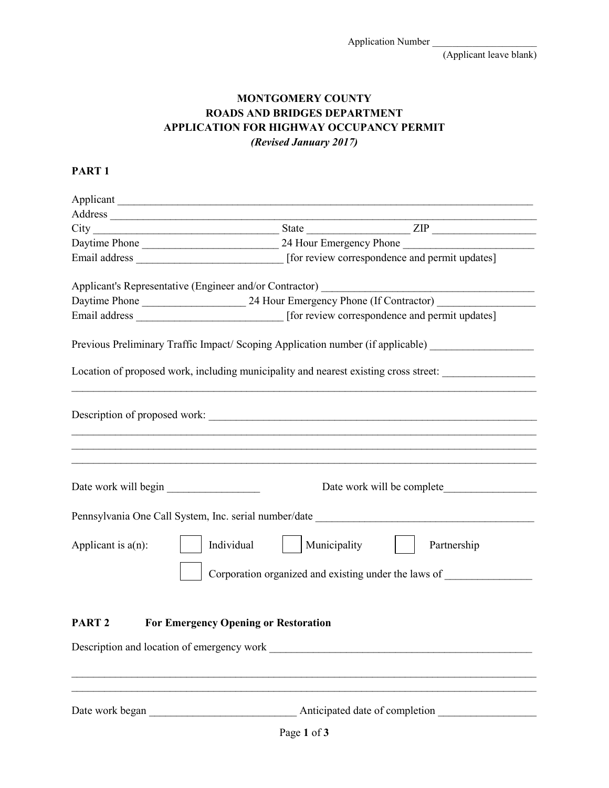(Applicant leave blank)

## **MONTGOMERY COUNTY ROADS AND BRIDGES DEPARTMENT APPLICATION FOR HIGHWAY OCCUPANCY PERMIT** *(Revised January 2017)*

## **PART 1**

| Address and the contract of the contract of the contract of the contract of the contract of the contract of the contract of the contract of the contract of the contract of the contract of the contract of the contract of th |            |                                                                                                |                                |                                                                                                  |
|--------------------------------------------------------------------------------------------------------------------------------------------------------------------------------------------------------------------------------|------------|------------------------------------------------------------------------------------------------|--------------------------------|--------------------------------------------------------------------------------------------------|
| $City$ $ZIP$                                                                                                                                                                                                                   |            |                                                                                                |                                |                                                                                                  |
|                                                                                                                                                                                                                                |            |                                                                                                |                                |                                                                                                  |
|                                                                                                                                                                                                                                |            | Email address _________________________________ [for review correspondence and permit updates] |                                |                                                                                                  |
|                                                                                                                                                                                                                                |            |                                                                                                |                                |                                                                                                  |
| Applicant's Representative (Engineer and/or Contractor) _________________________                                                                                                                                              |            |                                                                                                |                                |                                                                                                  |
|                                                                                                                                                                                                                                |            |                                                                                                |                                |                                                                                                  |
|                                                                                                                                                                                                                                |            |                                                                                                |                                |                                                                                                  |
| Previous Preliminary Traffic Impact/ Scoping Application number (if applicable) ___________________                                                                                                                            |            |                                                                                                |                                |                                                                                                  |
| Location of proposed work, including municipality and nearest existing cross street: ______________                                                                                                                            |            |                                                                                                |                                |                                                                                                  |
|                                                                                                                                                                                                                                |            |                                                                                                |                                |                                                                                                  |
| Date work will begin                                                                                                                                                                                                           |            |                                                                                                |                                | Date work will be complete                                                                       |
| Pennsylvania One Call System, Inc. serial number/date                                                                                                                                                                          |            |                                                                                                |                                |                                                                                                  |
| Applicant is $a(n)$ :                                                                                                                                                                                                          | Individual | Municipality                                                                                   |                                | Partnership<br>Corporation organized and existing under the laws of ____________________________ |
| PART <sub>2</sub>                                                                                                                                                                                                              |            | <b>For Emergency Opening or Restoration</b>                                                    |                                |                                                                                                  |
|                                                                                                                                                                                                                                |            |                                                                                                |                                |                                                                                                  |
| Date work began                                                                                                                                                                                                                |            |                                                                                                | Anticipated date of completion |                                                                                                  |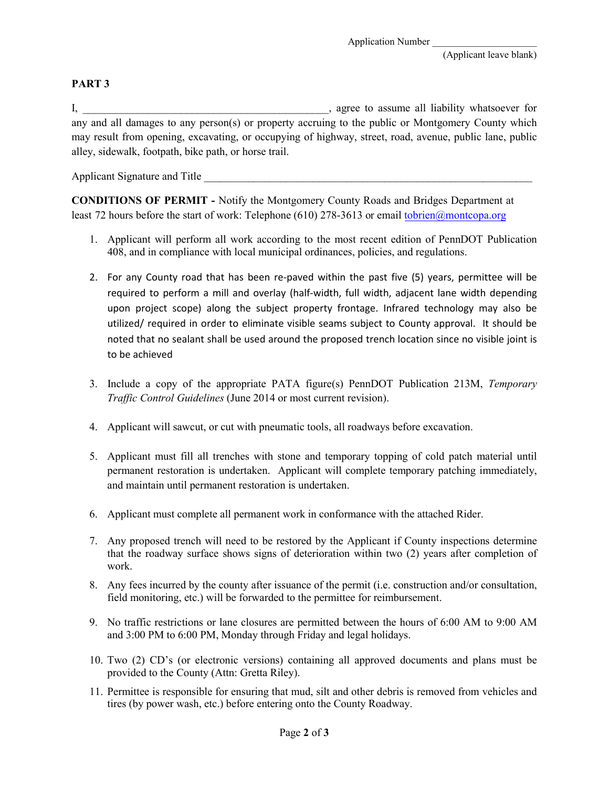## **PART 3**

I, \_\_\_\_\_\_\_\_\_\_\_\_\_\_\_\_\_\_\_\_\_\_\_\_\_\_\_\_\_\_\_\_\_\_\_\_\_\_\_\_\_\_\_\_\_, agree to assume all liability whatsoever for any and all damages to any person(s) or property accruing to the public or Montgomery County which may result from opening, excavating, or occupying of highway, street, road, avenue, public lane, public alley, sidewalk, footpath, bike path, or horse trail.

Applicant Signature and Title

**CONDITIONS OF PERMIT -** Notify the Montgomery County Roads and Bridges Department at least 72 hours before the start of work: Telephone (610) 278-3613 or email tobrien[@montcopa.org](mailto:tobrien@montcopa.org)

- 1. Applicant will perform all work according to the most recent edition of PennDOT Publication 408, and in compliance with local municipal ordinances, policies, and regulations.
- 2. For any County road that has been re-paved within the past five (5) years, permittee will be required to perform a mill and overlay (half-width, full width, adjacent lane width depending upon project scope) along the subject property frontage. Infrared technology may also be utilized/ required in order to eliminate visible seams subject to County approval. It should be noted that no sealant shall be used around the proposed trench location since no visible joint is to be achieved
- 3. Include a copy of the appropriate PATA figure(s) PennDOT Publication 213M, *Temporary Traffic Control Guidelines* (June 2014 or most current revision).
- 4. Applicant will sawcut, or cut with pneumatic tools, all roadways before excavation.
- 5. Applicant must fill all trenches with stone and temporary topping of cold patch material until permanent restoration is undertaken. Applicant will complete temporary patching immediately, and maintain until permanent restoration is undertaken.
- 6. Applicant must complete all permanent work in conformance with the attached Rider.
- 7. Any proposed trench will need to be restored by the Applicant if County inspections determine that the roadway surface shows signs of deterioration within two (2) years after completion of work.
- 8. Any fees incurred by the county after issuance of the permit (i.e. construction and/or consultation, field monitoring, etc.) will be forwarded to the permittee for reimbursement.
- 9. No traffic restrictions or lane closures are permitted between the hours of 6:00 AM to 9:00 AM and 3:00 PM to 6:00 PM, Monday through Friday and legal holidays.
- 10. Two (2) CD's (or electronic versions) containing all approved documents and plans must be provided to the County (Attn: Gretta Riley).
- 11. Permittee is responsible for ensuring that mud, silt and other debris is removed from vehicles and tires (by power wash, etc.) before entering onto the County Roadway.